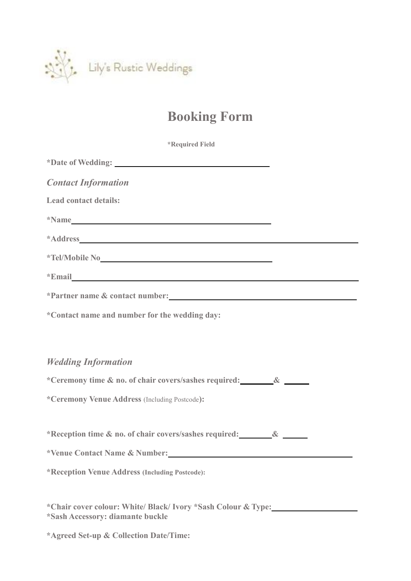

## **Booking Form**

| <i><b>*Required Field</b></i>                                                                                                                                                                                                  |  |
|--------------------------------------------------------------------------------------------------------------------------------------------------------------------------------------------------------------------------------|--|
| *Date of Wedding: Note that the set of the set of the set of the set of the set of the set of the set of the set of the set of the set of the set of the set of the set of the set of the set of the set of the set of the set |  |
| <b>Contact Information</b>                                                                                                                                                                                                     |  |
| <b>Lead contact details:</b>                                                                                                                                                                                                   |  |
| *Name <b>Name</b>                                                                                                                                                                                                              |  |
|                                                                                                                                                                                                                                |  |
| *Tel/Mobile No 2008                                                                                                                                                                                                            |  |
| *Email and the contract of the contract of the contract of the contract of the contract of the contract of the contract of the contract of the contract of the contract of the contract of the contract of the contract of the |  |
| *Partner name & contact number:                                                                                                                                                                                                |  |
| *Contact name and number for the wedding day:                                                                                                                                                                                  |  |
|                                                                                                                                                                                                                                |  |
| <b>Wedding Information</b>                                                                                                                                                                                                     |  |
| *Ceremony time & no. of chair covers/sashes required: &                                                                                                                                                                        |  |
| *Ceremony Venue Address (Including Postcode):                                                                                                                                                                                  |  |
|                                                                                                                                                                                                                                |  |
| *Reception time & no. of chair covers/sashes required: &                                                                                                                                                                       |  |
| *Venue Contact Name & Number:                                                                                                                                                                                                  |  |
| *Reception Venue Address (Including Postcode):                                                                                                                                                                                 |  |
|                                                                                                                                                                                                                                |  |
| *Chair cover colour: White/ Black/ Ivory *Sash Colour & Type:<br>*Sash Accessory: diamante buckle                                                                                                                              |  |

**\*Agreed Set-up & Collection Date/Time:**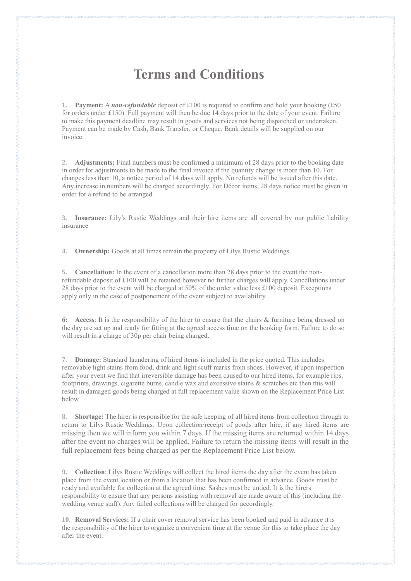## **Terms and Conditions**

**1. Payment:** A *non-refundable* deposit of £100 is required to confirm and hold your booking (£50 for orders under £150). Full payment will then be due 14 days prior to the date of your event. Failure to make this payment deadline may result in goods and services not being dispatched or undertaken. Payment can be made by Cash, Bank Transfer, or Cheque. Bank details will be supplied on our invoice.

**2. Adjustments:** Final numbers must be confirmed a minimum of 28 days prior to the booking date in order for adjustments to be made to the final invoice if the quantity change is more than 10. For changes less than 10, a notice period of 14 days will apply. No refunds will be issued after this date. Any increase in numbers will be charged accordingly. For Décor items, 28 days notice must be given in order for a refund to be arranged.

**3. Insurance:** Lily's Rustic Weddings and their hire items are all covered by our public liability insurance

**4. Ownership:** Goods at all times remain the property of Lilys Rustic Weddings.

**5. Cancellation:** In the event of a cancellation more than 28 days prior to the event the nonrefundable deposit of £100 will be retained however no further charges will apply. Cancellations under 28 days prior to the event will be charged at 50% of the order value less £100 deposit. Exceptions apply only in the case of postponement of the event subject to availability.

**6: Access**: It is the responsibility of the hirer to ensure that the chairs & furniture being dressed on the day are set up and ready for fitting at the agreed access time on the booking form. Failure to do so will result in a charge of 30p per chair being charged.

**7. Damage:** Standard laundering of hired items is included in the price quoted. This includes removable light stains from food, drink and light scuff marks from shoes. However, if upon inspection after your event we find that irreversible damage has been caused to our hired items, for example rips, footprints, drawings, cigarette burns, candle wax and excessive stains & scratches etc then this will result in damaged goods being charged at full replacement value shown on the Replacement Price List below.

**8. Shortage:** The hirer is responsible for the safe keeping of all hired items from collection through to return to Lilys Rustic Weddings. Upon collection/receipt of goods after hire, if any hired items are missing then we will inform you within 7 days. If the missing items are returned within 14 days after the event no charges will be applied. Failure to return the missing items will result in the full replacement fees being charged as per the Replacement Price List below.

**9. Collection**: Lilys Rustic Weddings will collect the hired items the day after the event hastaken place from the event location or from a location that has been confirmed in advance. Goods must be ready and available for collection at the agreed time. Sashes must be untied. It is the hirers responsibility to ensure that any persons assisting with removal are made aware of this (including the wedding venue staff). Any failed collections will be charged for accordingly.

**10. Removal Services:** If a chair cover removal service has been booked and paid in advance it is the responsibility of the hirer to organize a convenient time at the venue for this to take place the day after the event.